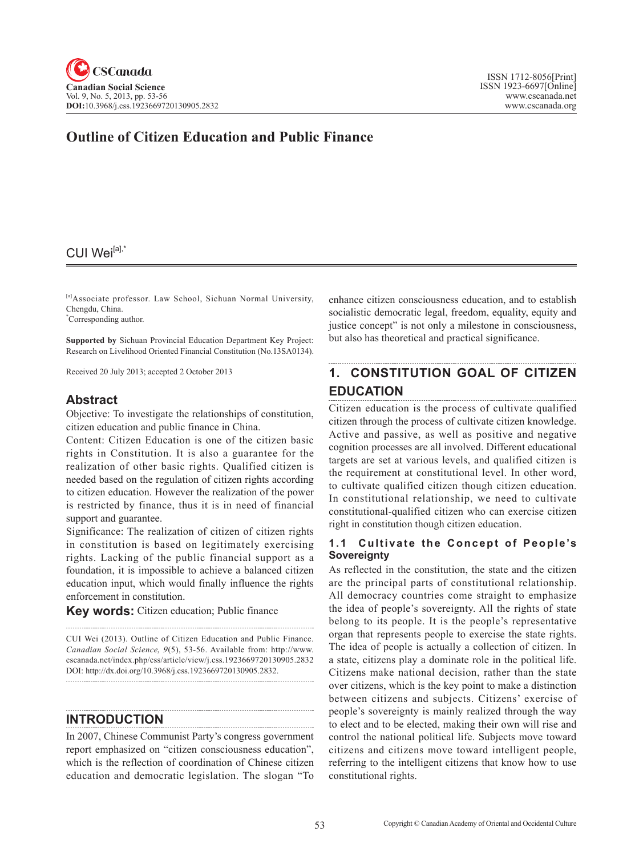## **Outline of Citizen Education and Public Finance**

#### CUI Wei<sup>[a],'</sup>

[a]Associate professor. Law School, Sichuan Normal University, Chengdu, China.

\* Corresponding author.

**Supported by** Sichuan Provincial Education Department Key Project: Research on Livelihood Oriented Financial Constitution (No.13SA0134).

Received 20 July 2013; accepted 2 October 2013

### **Abstract**

Objective: To investigate the relationships of constitution, citizen education and public finance in China.

Content: Citizen Education is one of the citizen basic rights in Constitution. It is also a guarantee for the realization of other basic rights. Qualified citizen is needed based on the regulation of citizen rights according to citizen education. However the realization of the power is restricted by finance, thus it is in need of financial support and guarantee.

Significance: The realization of citizen of citizen rights in constitution is based on legitimately exercising rights. Lacking of the public financial support as a foundation, it is impossible to achieve a balanced citizen education input, which would finally influence the rights enforcement in constitution.

**Key words:** Citizen education; Public finance

CUI Wei (2013). Outline of Citizen Education and Public Finance. *Canadian Social Science*, <sup>9</sup>(5), 53-56. Available from: http://www. cscanada.net/index.php/css/article/view/j.css.1923669720130905.2832 DOI: http://dx.doi.org/10.3968/j.css.1923669720130905.2832. 

**INTRODUCTION**

In 2007, Chinese Communist Party's congress government report emphasized on "citizen consciousness education", which is the reflection of coordination of Chinese citizen education and democratic legislation. The slogan "To enhance citizen consciousness education, and to establish socialistic democratic legal, freedom, equality, equity and justice concept" is not only a milestone in consciousness, but also has theoretical and practical significance.

## **1. CONSTITUTION GOAL OF CITIZEN EDUCATION**

Citizen education is the process of cultivate qualified citizen through the process of cultivate citizen knowledge. Active and passive, as well as positive and negative cognition processes are all involved. Different educational targets are set at various levels, and qualified citizen is the requirement at constitutional level. In other word, to cultivate qualified citizen though citizen education. In constitutional relationship, we need to cultivate constitutional-qualified citizen who can exercise citizen right in constitution though citizen education.

#### **1.1 Cultivate the Concept of People's Sovereignty**

As reflected in the constitution, the state and the citizen are the principal parts of constitutional relationship. All democracy countries come straight to emphasize the idea of people's sovereignty. All the rights of state belong to its people. It is the people's representative organ that represents people to exercise the state rights. The idea of people is actually a collection of citizen. In a state, citizens play a dominate role in the political life. Citizens make national decision, rather than the state over citizens, which is the key point to make a distinction between citizens and subjects. Citizens' exercise of people's sovereignty is mainly realized through the way to elect and to be elected, making their own will rise and control the national political life. Subjects move toward citizens and citizens move toward intelligent people, referring to the intelligent citizens that know how to use constitutional rights.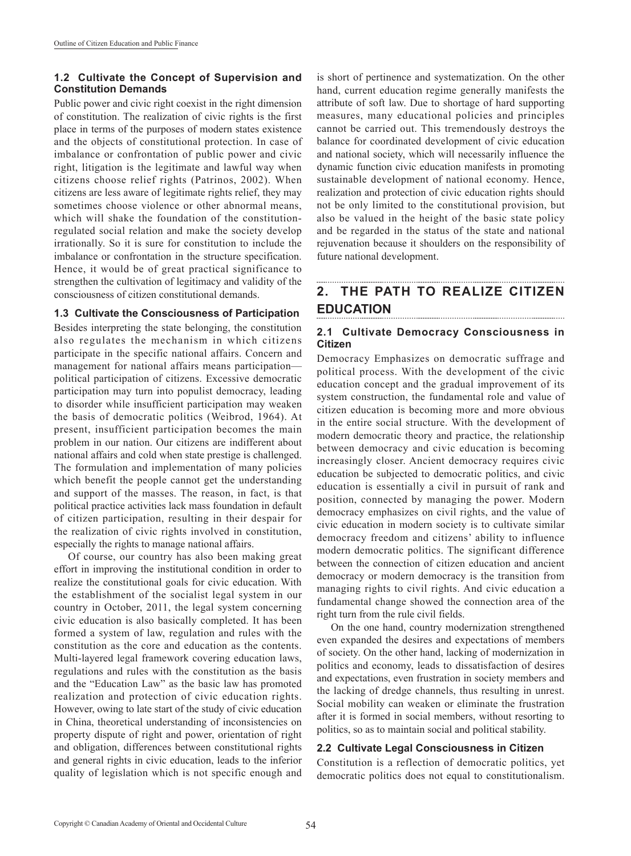#### **1.2 Cultivate the Concept of Supervision and Constitution Demands**

Public power and civic right coexist in the right dimension of constitution. The realization of civic rights is the first place in terms of the purposes of modern states existence and the objects of constitutional protection. In case of imbalance or confrontation of public power and civic right, litigation is the legitimate and lawful way when citizens choose relief rights (Patrinos, 2002). When citizens are less aware of legitimate rights relief, they may sometimes choose violence or other abnormal means, which will shake the foundation of the constitutionregulated social relation and make the society develop irrationally. So it is sure for constitution to include the imbalance or confrontation in the structure specification. Hence, it would be of great practical significance to strengthen the cultivation of legitimacy and validity of the consciousness of citizen constitutional demands.

#### **1.3 Cultivate the Consciousness of Participation**

Besides interpreting the state belonging, the constitution also regulates the mechanism in which citizens participate in the specific national affairs. Concern and management for national affairs means participation political participation of citizens. Excessive democratic participation may turn into populist democracy, leading to disorder while insufficient participation may weaken the basis of democratic politics (Weibrod, 1964). At present, insufficient participation becomes the main problem in our nation. Our citizens are indifferent about national affairs and cold when state prestige is challenged. The formulation and implementation of many policies which benefit the people cannot get the understanding and support of the masses. The reason, in fact, is that political practice activities lack mass foundation in default of citizen participation, resulting in their despair for the realization of civic rights involved in constitution, especially the rights to manage national affairs.

Of course, our country has also been making great effort in improving the institutional condition in order to realize the constitutional goals for civic education. With the establishment of the socialist legal system in our country in October, 2011, the legal system concerning civic education is also basically completed. It has been formed a system of law, regulation and rules with the constitution as the core and education as the contents. Multi-layered legal framework covering education laws, regulations and rules with the constitution as the basis and the "Education Law" as the basic law has promoted realization and protection of civic education rights. However, owing to late start of the study of civic education in China, theoretical understanding of inconsistencies on property dispute of right and power, orientation of right and obligation, differences between constitutional rights and general rights in civic education, leads to the inferior quality of legislation which is not specific enough and

is short of pertinence and systematization. On the other hand, current education regime generally manifests the attribute of soft law. Due to shortage of hard supporting measures, many educational policies and principles cannot be carried out. This tremendously destroys the balance for coordinated development of civic education and national society, which will necessarily influence the dynamic function civic education manifests in promoting sustainable development of national economy. Hence, realization and protection of civic education rights should not be only limited to the constitutional provision, but also be valued in the height of the basic state policy and be regarded in the status of the state and national rejuvenation because it shoulders on the responsibility of future national development.

#### **2. THE PATH TO REALIZE CITIZEN EDUCATION**

#### **2.1 Cultivate Democracy Consciousness in Citizen**

Democracy Emphasizes on democratic suffrage and political process. With the development of the civic education concept and the gradual improvement of its system construction, the fundamental role and value of citizen education is becoming more and more obvious in the entire social structure. With the development of modern democratic theory and practice, the relationship between democracy and civic education is becoming increasingly closer. Ancient democracy requires civic education be subjected to democratic politics, and civic education is essentially a civil in pursuit of rank and position, connected by managing the power. Modern democracy emphasizes on civil rights, and the value of civic education in modern society is to cultivate similar democracy freedom and citizens' ability to influence modern democratic politics. The significant difference between the connection of citizen education and ancient democracy or modern democracy is the transition from managing rights to civil rights. And civic education a fundamental change showed the connection area of the right turn from the rule civil fields.

On the one hand, country modernization strengthened even expanded the desires and expectations of members of society. On the other hand, lacking of modernization in politics and economy, leads to dissatisfaction of desires and expectations, even frustration in society members and the lacking of dredge channels, thus resulting in unrest. Social mobility can weaken or eliminate the frustration after it is formed in social members, without resorting to politics, so as to maintain social and political stability.

#### **2.2 Cultivate Legal Consciousness in Citizen**

Constitution is a reflection of democratic politics, yet democratic politics does not equal to constitutionalism.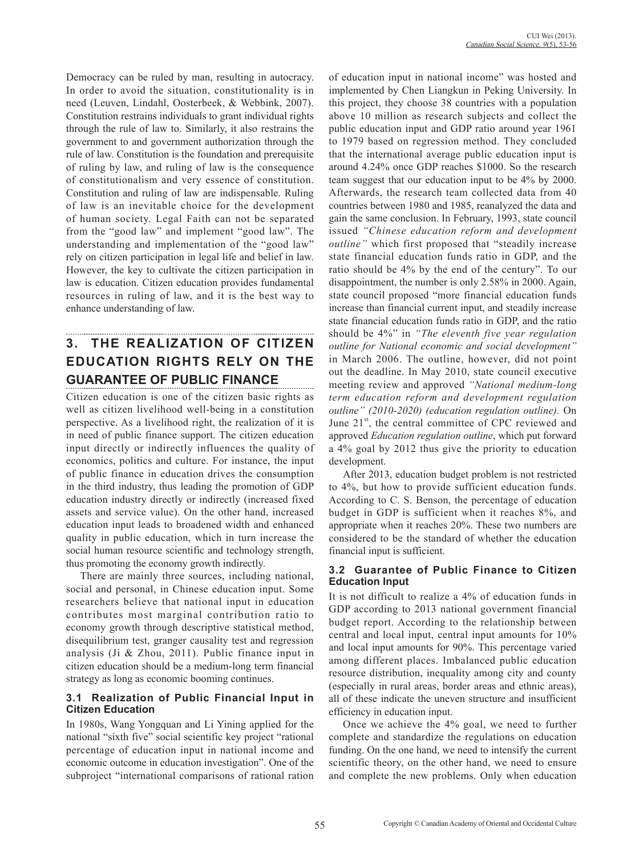Democracy can be ruled by man, resulting in autocracy. In order to avoid the situation, constitutionality is in need (Leuven, Lindahl, Oosterbeek, & Webbink, 2007). Constitution restrains individuals to grant individual rights through the rule of law to. Similarly, it also restrains the government to and government authorization through the rule of law. Constitution is the foundation and prerequisite of ruling by law, and ruling of law is the consequence of constitutionalism and very essence of constitution. Constitution and ruling of law are indispensable. Ruling of law is an inevitable choice for the development of human society. Legal Faith can not be separated from the "good law" and implement "good law". The understanding and implementation of the "good law" rely on citizen participation in legal life and belief in law. However, the key to cultivate the citizen participation in law is education. Citizen education provides fundamental resources in ruling of law, and it is the best way to enhance understanding of law.

# **3. THE REALIZATION OF CITIZEN EDUCATION RIGHTS RELY ON THE GUARANTEE OF PUBLIC FINANCE**

Citizen education is one of the citizen basic rights as well as citizen livelihood well-being in a constitution perspective. As a livelihood right, the realization of it is in need of public finance support. The citizen education input directly or indirectly influences the quality of economics, politics and culture. For instance, the input of public finance in education drives the consumption in the third industry, thus leading the promotion of GDP education industry directly or indirectly (increased fixed assets and service value). On the other hand, increased education input leads to broadened width and enhanced quality in public education, which in turn increase the social human resource scientific and technology strength, thus promoting the economy growth indirectly.

There are mainly three sources, including national, social and personal, in Chinese education input. Some researchers believe that national input in education contributes most marginal contribution ratio to economy growth through descriptive statistical method, disequilibrium test, granger causality test and regression analysis (Ji & Zhou, 2011). Public finance input in citizen education should be a medium-long term financial strategy as long as economic booming continues.

#### **3.1 Realization of Public Financial Input in Citizen Education**

In 1980s, Wang Yongquan and Li Yining applied for the national "sixth five" social scientific key project "rational percentage of education input in national income and economic outcome in education investigation". One of the subproject "international comparisons of rational ration

of education input in national income" was hosted and implemented by Chen Liangkun in Peking University. In this project, they choose 38 countries with a population above 10 million as research subjects and collect the public education input and GDP ratio around year 1961 to 1979 based on regression method. They concluded that the international average public education input is around 4.24% once GDP reaches \$1000. So the research team suggest that our education input to be 4% by 2000. Afterwards, the research team collected data from 40 countries between 1980 and 1985, reanalyzed the data and gain the same conclusion. In February, 1993, state council issued *"Chinese education reform and development outline"* which first proposed that "steadily increase state financial education funds ratio in GDP, and the ratio should be 4% by the end of the century". To our disappointment, the number is only 2.58% in 2000. Again, state council proposed "more financial education funds increase than financial current input, and steadily increase state financial education funds ratio in GDP, and the ratio should be 4%" in *"The eleventh five year regulation outline for National economic and social development"* in March 2006. The outline, however, did not point out the deadline. In May 2010, state council executive meeting review and approved *"National medium-long term education reform and development regulation outline" (2010-2020) (education regulation outline).* On June  $21<sup>st</sup>$ , the central committee of CPC reviewed and approved *Education regulation outline*, which put forward a 4% goal by 2012 thus give the priority to education development.

After 2013, education budget problem is not restricted to 4%, but how to provide sufficient education funds. According to C. S. Benson, the percentage of education budget in GDP is sufficient when it reaches 8%, and appropriate when it reaches 20%. These two numbers are considered to be the standard of whether the education financial input is sufficient.

#### **3.2 Guarantee of Public Finance to Citizen Education Input**

It is not difficult to realize a 4% of education funds in GDP according to 2013 national government financial budget report. According to the relationship between central and local input, central input amounts for 10% and local input amounts for 90%. This percentage varied among different places. Imbalanced public education resource distribution, inequality among city and county (especially in rural areas, border areas and ethnic areas), all of these indicate the uneven structure and insufficient efficiency in education input.

Once we achieve the 4% goal, we need to further complete and standardize the regulations on education funding. On the one hand, we need to intensify the current scientific theory, on the other hand, we need to ensure and complete the new problems. Only when education